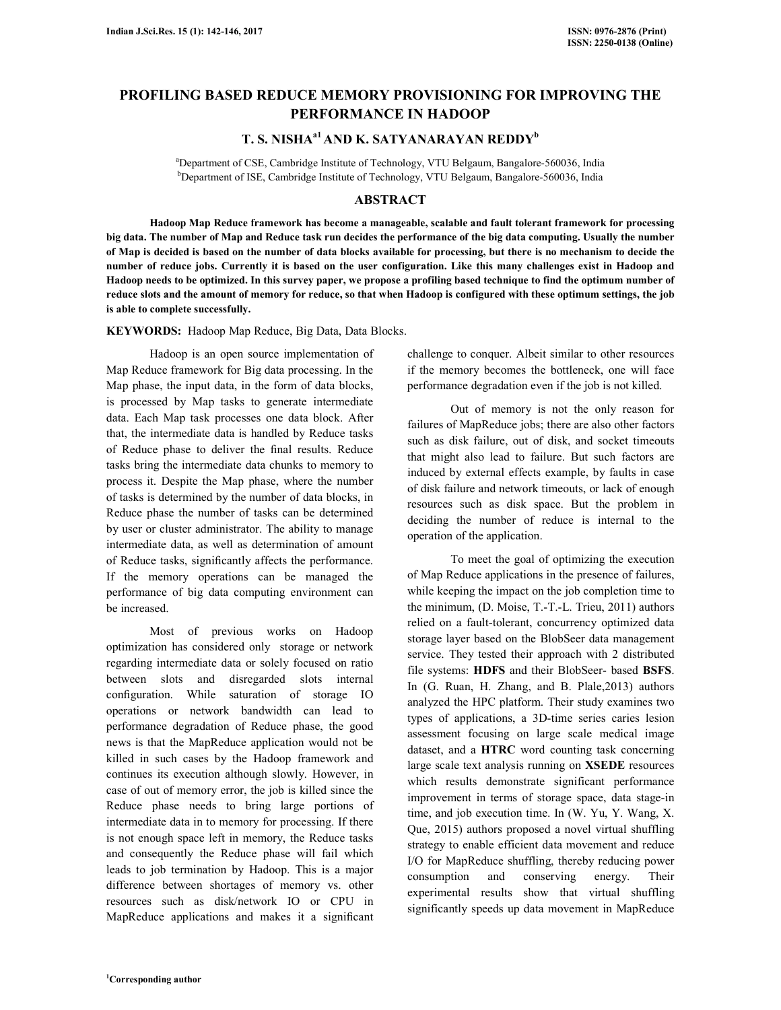# **PROFILING BASED REDUCE MEMORY PROVISIONING FOR IMPROVING THE PERFORMANCE IN HADOOP**

# **T. S. NISHAa1 AND K. SATYANARAYAN REDDY<sup>b</sup>**

<sup>a</sup>Department of CSE, Cambridge Institute of Technology, VTU Belgaum, Bangalore-560036, India <sup>b</sup>Department of ISE, Cambridge Institute of Technology, VTU Belgaum, Bangalore-560036, India

## **ABSTRACT**

 **Hadoop Map Reduce framework has become a manageable, scalable and fault tolerant framework for processing big data. The number of Map and Reduce task run decides the performance of the big data computing. Usually the number of Map is decided is based on the number of data blocks available for processing, but there is no mechanism to decide the number of reduce jobs. Currently it is based on the user configuration. Like this many challenges exist in Hadoop and Hadoop needs to be optimized. In this survey paper, we propose a profiling based technique to find the optimum number of reduce slots and the amount of memory for reduce, so that when Hadoop is configured with these optimum settings, the job is able to complete successfully.** 

**KEYWORDS:** Hadoop Map Reduce, Big Data, Data Blocks.

 Hadoop is an open source implementation of Map Reduce framework for Big data processing. In the Map phase, the input data, in the form of data blocks, is processed by Map tasks to generate intermediate data. Each Map task processes one data block. After that, the intermediate data is handled by Reduce tasks of Reduce phase to deliver the final results. Reduce tasks bring the intermediate data chunks to memory to process it. Despite the Map phase, where the number of tasks is determined by the number of data blocks, in Reduce phase the number of tasks can be determined by user or cluster administrator. The ability to manage intermediate data, as well as determination of amount of Reduce tasks, significantly affects the performance. If the memory operations can be managed the performance of big data computing environment can be increased.

 Most of previous works on Hadoop optimization has considered only storage or network regarding intermediate data or solely focused on ratio between slots and disregarded slots internal configuration. While saturation of storage IO operations or network bandwidth can lead to performance degradation of Reduce phase, the good news is that the MapReduce application would not be killed in such cases by the Hadoop framework and continues its execution although slowly. However, in case of out of memory error, the job is killed since the Reduce phase needs to bring large portions of intermediate data in to memory for processing. If there is not enough space left in memory, the Reduce tasks and consequently the Reduce phase will fail which leads to job termination by Hadoop. This is a major difference between shortages of memory vs. other resources such as disk/network IO or CPU in MapReduce applications and makes it a significant

challenge to conquer. Albeit similar to other resources if the memory becomes the bottleneck, one will face performance degradation even if the job is not killed.

 Out of memory is not the only reason for failures of MapReduce jobs; there are also other factors such as disk failure, out of disk, and socket timeouts that might also lead to failure. But such factors are induced by external effects example, by faults in case of disk failure and network timeouts, or lack of enough resources such as disk space. But the problem in deciding the number of reduce is internal to the operation of the application.

 To meet the goal of optimizing the execution of Map Reduce applications in the presence of failures, while keeping the impact on the job completion time to the minimum, (D. Moise, T.-T.-L. Trieu, 2011) authors relied on a fault-tolerant, concurrency optimized data storage layer based on the BlobSeer data management service. They tested their approach with 2 distributed file systems: **HDFS** and their BlobSeer- based **BSFS**. In (G. Ruan, H. Zhang, and B. Plale,2013) authors analyzed the HPC platform. Their study examines two types of applications, a 3D-time series caries lesion assessment focusing on large scale medical image dataset, and a **HTRC** word counting task concerning large scale text analysis running on **XSEDE** resources which results demonstrate significant performance improvement in terms of storage space, data stage-in time, and job execution time. In (W. Yu, Y. Wang, X. Que, 2015) authors proposed a novel virtual shuffling strategy to enable efficient data movement and reduce I/O for MapReduce shuffling, thereby reducing power consumption and conserving energy. Their experimental results show that virtual shuffling significantly speeds up data movement in MapReduce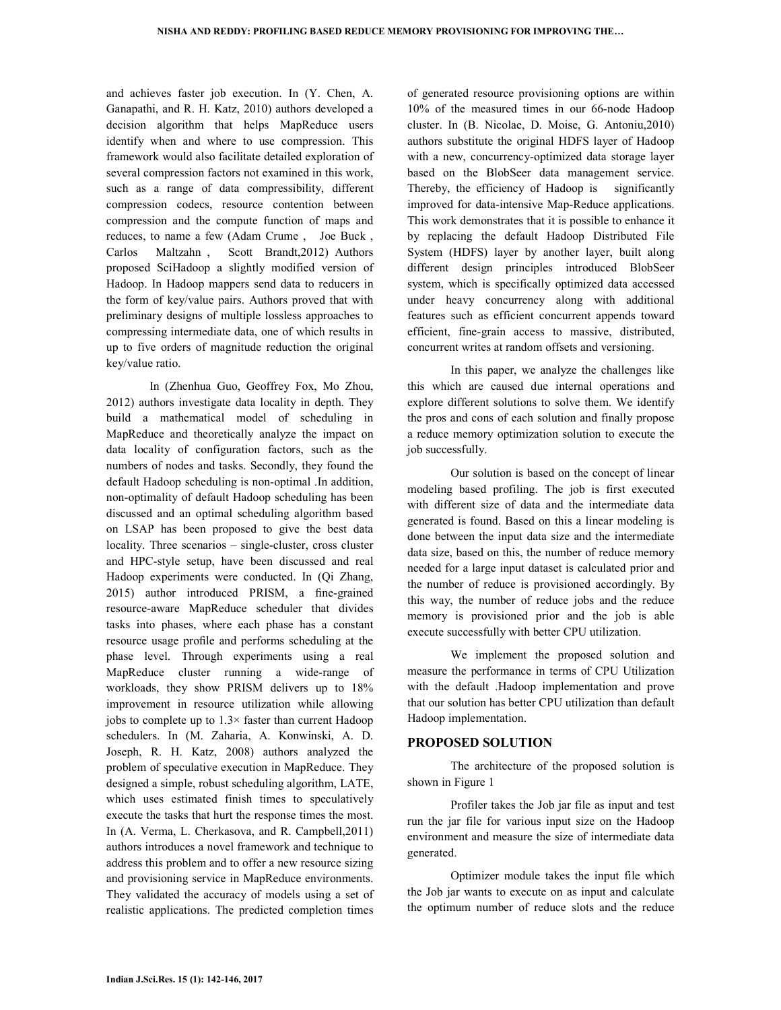and achieves faster job execution. In (Y. Chen, A. Ganapathi, and R. H. Katz, 2010) authors developed a decision algorithm that helps MapReduce users identify when and where to use compression. This framework would also facilitate detailed exploration of several compression factors not examined in this work, such as a range of data compressibility, different compression codecs, resource contention between compression and the compute function of maps and reduces, to name a few (Adam Crume , Joe Buck , Carlos Maltzahn , Scott Brandt,2012) Authors proposed SciHadoop a slightly modified version of Hadoop. In Hadoop mappers send data to reducers in the form of key/value pairs. Authors proved that with preliminary designs of multiple lossless approaches to compressing intermediate data, one of which results in up to five orders of magnitude reduction the original key/value ratio.

 In (Zhenhua Guo, Geoffrey Fox, Mo Zhou, 2012) authors investigate data locality in depth. They build a mathematical model of scheduling in MapReduce and theoretically analyze the impact on data locality of configuration factors, such as the numbers of nodes and tasks. Secondly, they found the default Hadoop scheduling is non-optimal .In addition, non-optimality of default Hadoop scheduling has been discussed and an optimal scheduling algorithm based on LSAP has been proposed to give the best data locality. Three scenarios – single-cluster, cross cluster and HPC-style setup, have been discussed and real Hadoop experiments were conducted. In (Qi Zhang, 2015) author introduced PRISM, a fine-grained resource-aware MapReduce scheduler that divides tasks into phases, where each phase has a constant resource usage profile and performs scheduling at the phase level. Through experiments using a real MapReduce cluster running a wide-range of workloads, they show PRISM delivers up to 18% improvement in resource utilization while allowing jobs to complete up to  $1.3 \times$  faster than current Hadoop schedulers. In (M. Zaharia, A. Konwinski, A. D. Joseph, R. H. Katz, 2008) authors analyzed the problem of speculative execution in MapReduce. They designed a simple, robust scheduling algorithm, LATE, which uses estimated finish times to speculatively execute the tasks that hurt the response times the most. In (A. Verma, L. Cherkasova, and R. Campbell,2011) authors introduces a novel framework and technique to address this problem and to offer a new resource sizing and provisioning service in MapReduce environments. They validated the accuracy of models using a set of realistic applications. The predicted completion times of generated resource provisioning options are within 10% of the measured times in our 66-node Hadoop cluster. In (B. Nicolae, D. Moise, G. Antoniu,2010) authors substitute the original HDFS layer of Hadoop with a new, concurrency-optimized data storage layer based on the BlobSeer data management service. Thereby, the efficiency of Hadoop is significantly improved for data-intensive Map-Reduce applications. This work demonstrates that it is possible to enhance it by replacing the default Hadoop Distributed File System (HDFS) layer by another layer, built along different design principles introduced BlobSeer system, which is specifically optimized data accessed under heavy concurrency along with additional features such as efficient concurrent appends toward efficient, fine-grain access to massive, distributed, concurrent writes at random offsets and versioning.

 In this paper, we analyze the challenges like this which are caused due internal operations and explore different solutions to solve them. We identify the pros and cons of each solution and finally propose a reduce memory optimization solution to execute the job successfully.

 Our solution is based on the concept of linear modeling based profiling. The job is first executed with different size of data and the intermediate data generated is found. Based on this a linear modeling is done between the input data size and the intermediate data size, based on this, the number of reduce memory needed for a large input dataset is calculated prior and the number of reduce is provisioned accordingly. By this way, the number of reduce jobs and the reduce memory is provisioned prior and the job is able execute successfully with better CPU utilization.

 We implement the proposed solution and measure the performance in terms of CPU Utilization with the default .Hadoop implementation and prove that our solution has better CPU utilization than default Hadoop implementation.

### **PROPOSED SOLUTION**

 The architecture of the proposed solution is shown in Figure 1

 Profiler takes the Job jar file as input and test run the jar file for various input size on the Hadoop environment and measure the size of intermediate data generated.

 Optimizer module takes the input file which the Job jar wants to execute on as input and calculate the optimum number of reduce slots and the reduce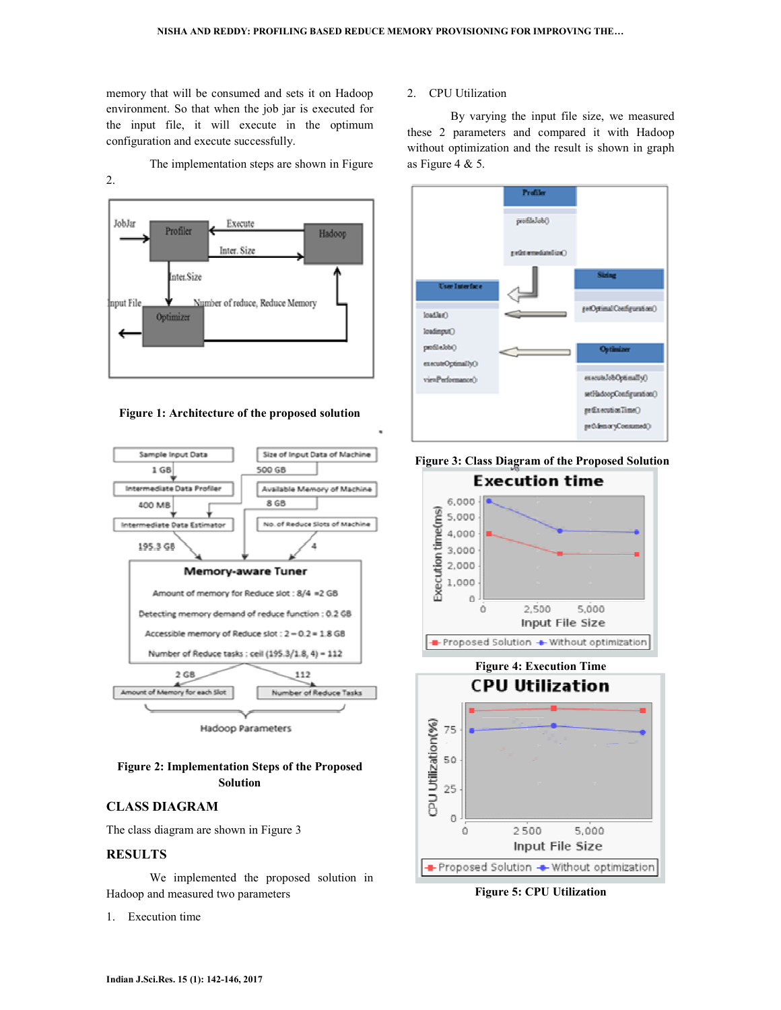memory that will be consumed and sets it on Hadoop environment. So that when the job jar is executed for the input file, it will execute in the optimum configuration and execute successfully.

2.

The implementation steps are shown in Figure



**Figure 1: Architecture of the proposed solution** 



## **Figure 2: Implementation Steps of the Proposed Solution**

# **CLASS DIAGRAM**

The class diagram are shown in Figure 3

### **RESULTS**

 We implemented the proposed solution in Hadoop and measured two parameters

1. Execution time

#### 2. CPU Utilization

 By varying the input file size, we measured these 2 parameters and compared it with Hadoop without optimization and the result is shown in graph as Figure 4 & 5.









**Figure 5: CPU Utilization**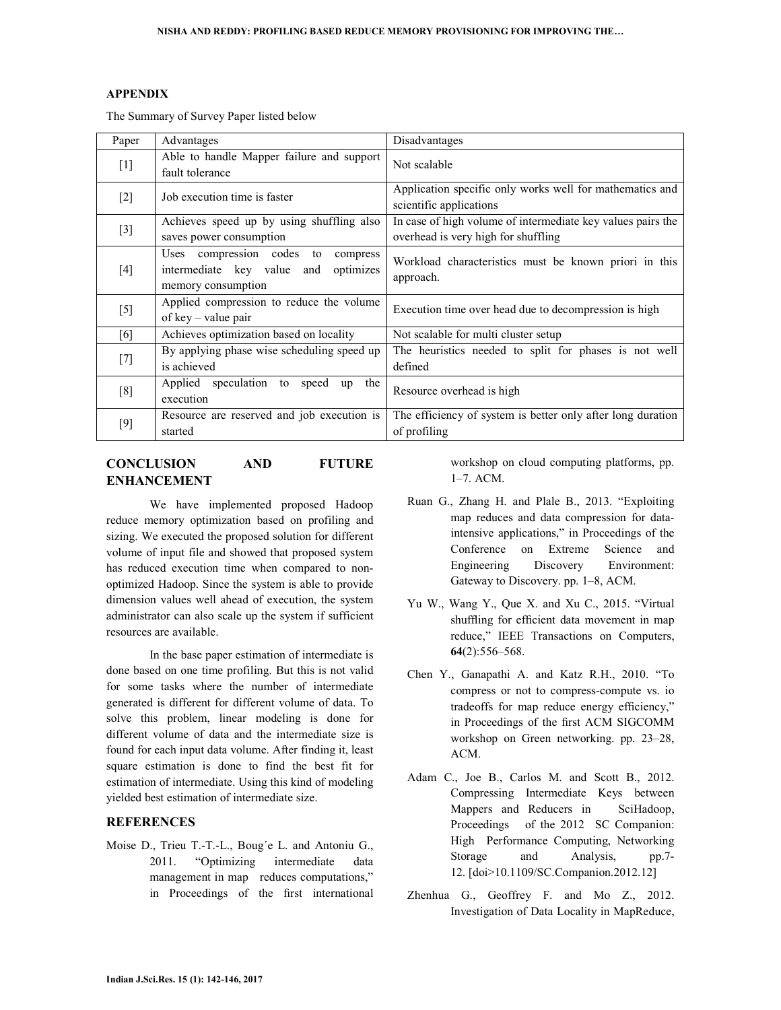#### **APPENDIX**

The Summary of Survey Paper listed below

| Paper             | Advantages                                                                                             | Disadvantages                                                                                      |
|-------------------|--------------------------------------------------------------------------------------------------------|----------------------------------------------------------------------------------------------------|
| $[1]$             | Able to handle Mapper failure and support<br>fault tolerance                                           | Not scalable                                                                                       |
| $\lceil 2 \rceil$ | Job execution time is faster                                                                           | Application specific only works well for mathematics and<br>scientific applications                |
| $[3]$             | Achieves speed up by using shuffling also<br>saves power consumption                                   | In case of high volume of intermediate key values pairs the<br>overhead is very high for shuffling |
| [4]               | Uses compression codes to<br>compress<br>intermediate key value and<br>optimizes<br>memory consumption | Workload characteristics must be known priori in this<br>approach.                                 |
| $[5]$             | Applied compression to reduce the volume<br>of key – value pair                                        | Execution time over head due to decompression is high                                              |
| [6]               | Achieves optimization based on locality                                                                | Not scalable for multi cluster setup                                                               |
| $[7]$             | By applying phase wise scheduling speed up<br>is achieved                                              | The heuristics needed to split for phases is not well<br>defined                                   |
| [8]               | Applied speculation to<br>the<br>speed<br>up<br>execution                                              | Resource overhead is high                                                                          |
| [9]               | Resource are reserved and job execution is<br>started                                                  | The efficiency of system is better only after long duration<br>of profiling                        |

# **CONCLUSION AND FUTURE ENHANCEMENT**

 We have implemented proposed Hadoop reduce memory optimization based on profiling and sizing. We executed the proposed solution for different volume of input file and showed that proposed system has reduced execution time when compared to nonoptimized Hadoop. Since the system is able to provide dimension values well ahead of execution, the system administrator can also scale up the system if sufficient resources are available.

 In the base paper estimation of intermediate is done based on one time profiling. But this is not valid for some tasks where the number of intermediate generated is different for different volume of data. To solve this problem, linear modeling is done for different volume of data and the intermediate size is found for each input data volume. After finding it, least square estimation is done to find the best fit for estimation of intermediate. Using this kind of modeling yielded best estimation of intermediate size.

### **REFERENCES**

Moise D., Trieu T.-T.-L., Boug´e L. and Antoniu G., 2011. "Optimizing intermediate data management in map reduces computations," in Proceedings of the first international workshop on cloud computing platforms, pp. 1–7. ACM.

- Ruan G., Zhang H. and Plale B., 2013. "Exploiting map reduces and data compression for dataintensive applications," in Proceedings of the Conference on Extreme Science and Engineering Discovery Environment: Gateway to Discovery. pp. 1–8, ACM.
- Yu W., Wang Y., Que X. and Xu C., 2015. "Virtual shuffling for efficient data movement in map reduce," IEEE Transactions on Computers, **64**(2):556–568.
- Chen Y., Ganapathi A. and Katz R.H., 2010. "To compress or not to compress-compute vs. io tradeoffs for map reduce energy efficiency," in Proceedings of the first ACM SIGCOMM workshop on Green networking. pp. 23–28, ACM.
- Adam C., Joe B., Carlos M. and Scott B., 2012. Compressing Intermediate Keys between Mappers and Reducers in SciHadoop, Proceedings of the 2012 SC Companion: High Performance Computing, Networking Storage and Analysis, pp.7- 12. [doi>10.1109/SC.Companion.2012.12]
- Zhenhua G., Geoffrey F. and Mo Z., 2012. Investigation of Data Locality in MapReduce,